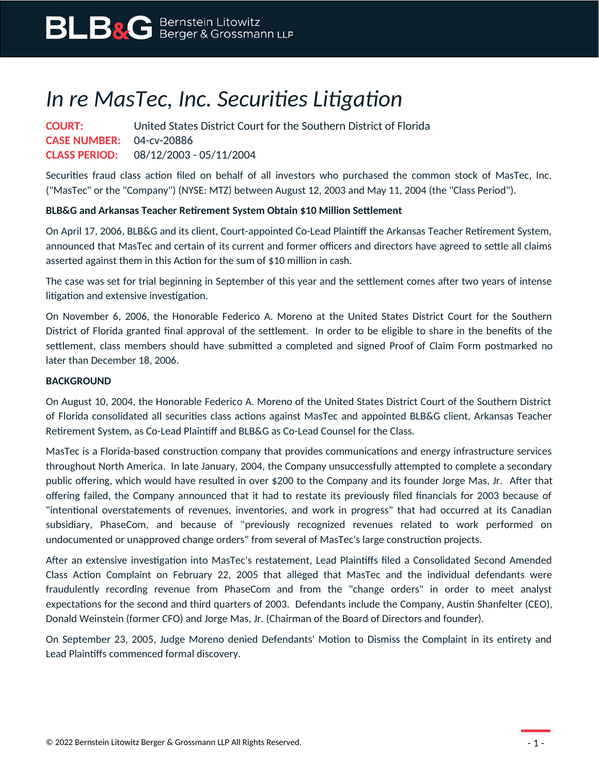## *In re MasTec, Inc. Securities Litigation*

**COURT:** United States District Court for the Southern District of Florida **CASE NUMBER:** 04-cv-20886 **CLASS PERIOD:** 08/12/2003 - 05/11/2004

Securities fraud class action filed on behalf of all investors who purchased the common stock of MasTec, Inc. ("MasTec" or the "Company") (NYSE: MTZ) between August 12, 2003 and May 11, 2004 (the "Class Period").

## **BLB&G and Arkansas Teacher Retirement System Obtain \$10 Million Settlement**

On April 17, 2006, BLB&G and its client, Court-appointed Co-Lead Plaintiff the Arkansas Teacher Retirement System, announced that MasTec and certain of its current and former officers and directors have agreed to settle all claims asserted against them in this Action for the sum of \$10 million in cash.

The case was set for trial beginning in September of this year and the settlement comes after two years of intense litigation and extensive investigation.

On November 6, 2006, the Honorable Federico A. Moreno at the United States District Court for the Southern District of Florida granted final approval of the settlement. In order to be eligible to share in the benefits of the settlement, class members should have submitted a completed and signed Proof of Claim Form postmarked no later than December 18, 2006.

## **BACKGROUND**

On August 10, 2004, the Honorable Federico A. Moreno of the United States District Court of the Southern District of Florida consolidated all securities class actions against MasTec and appointed BLB&G client, Arkansas Teacher Retirement System, as Co-Lead Plaintiff and BLB&G as Co-Lead Counsel for the Class.

MasTec is a Florida-based construction company that provides communications and energy infrastructure services throughout North America. In late January, 2004, the Company unsuccessfully attempted to complete a secondary public offering, which would have resulted in over \$200 to the Company and its founder Jorge Mas, Jr. After that offering failed, the Company announced that it had to restate its previously filed financials for 2003 because of "intentional overstatements of revenues, inventories, and work in progress" that had occurred at its Canadian subsidiary, PhaseCom, and because of "previously recognized revenues related to work performed on undocumented or unapproved change orders" from several of MasTec's large construction projects.

After an extensive investigation into MasTec's restatement, Lead Plaintiffs filed a Consolidated Second Amended Class Action Complaint on February 22, 2005 that alleged that MasTec and the individual defendants were fraudulently recording revenue from PhaseCom and from the "change orders" in order to meet analyst expectations for the second and third quarters of 2003. Defendants include the Company, Austin Shanfelter (CEO), Donald Weinstein (former CFO) and Jorge Mas, Jr. (Chairman of the Board of Directors and founder).

On September 23, 2005, Judge Moreno denied Defendants' Motion to Dismiss the Complaint in its entirety and Lead Plaintiffs commenced formal discovery.